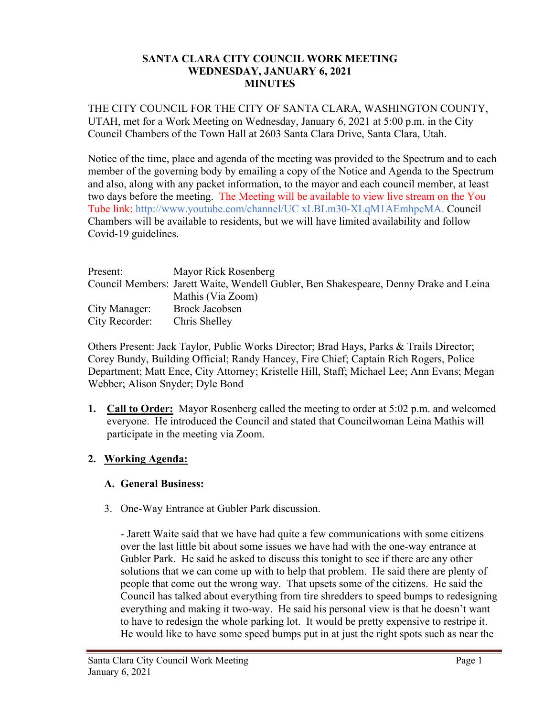#### **SANTA CLARA CITY COUNCIL WORK MEETING WEDNESDAY, JANUARY 6, 2021 MINUTES**

THE CITY COUNCIL FOR THE CITY OF SANTA CLARA, WASHINGTON COUNTY, UTAH, met for a Work Meeting on Wednesday, January 6, 2021 at 5:00 p.m. in the City Council Chambers of the Town Hall at 2603 Santa Clara Drive, Santa Clara, Utah.

Notice of the time, place and agenda of the meeting was provided to the Spectrum and to each member of the governing body by emailing a copy of the Notice and Agenda to the Spectrum and also, along with any packet information, to the mayor and each council member, at least two days before the meeting. The Meeting will be available to view live stream on the You Tube link: http://www.youtube.com/channel/UC xLBLm30-XLqM1AEmhpcMA. Council Chambers will be available to residents, but we will have limited availability and follow Covid-19 guidelines.

| Present:       | Mayor Rick Rosenberg                                                                  |
|----------------|---------------------------------------------------------------------------------------|
|                | Council Members: Jarett Waite, Wendell Gubler, Ben Shakespeare, Denny Drake and Leina |
|                | Mathis (Via Zoom)                                                                     |
| City Manager:  | Brock Jacobsen                                                                        |
| City Recorder: | Chris Shelley                                                                         |

Others Present: Jack Taylor, Public Works Director; Brad Hays, Parks & Trails Director; Corey Bundy, Building Official; Randy Hancey, Fire Chief; Captain Rich Rogers, Police Department; Matt Ence, City Attorney; Kristelle Hill, Staff; Michael Lee; Ann Evans; Megan Webber; Alison Snyder; Dyle Bond

**1. Call to Order:** Mayor Rosenberg called the meeting to order at 5:02 p.m. and welcomed everyone. He introduced the Council and stated that Councilwoman Leina Mathis will participate in the meeting via Zoom.

## **2. Working Agenda:**

## **A. General Business:**

3. One-Way Entrance at Gubler Park discussion.

- Jarett Waite said that we have had quite a few communications with some citizens over the last little bit about some issues we have had with the one-way entrance at Gubler Park. He said he asked to discuss this tonight to see if there are any other solutions that we can come up with to help that problem. He said there are plenty of people that come out the wrong way. That upsets some of the citizens. He said the Council has talked about everything from tire shredders to speed bumps to redesigning everything and making it two-way. He said his personal view is that he doesn't want to have to redesign the whole parking lot. It would be pretty expensive to restripe it. He would like to have some speed bumps put in at just the right spots such as near the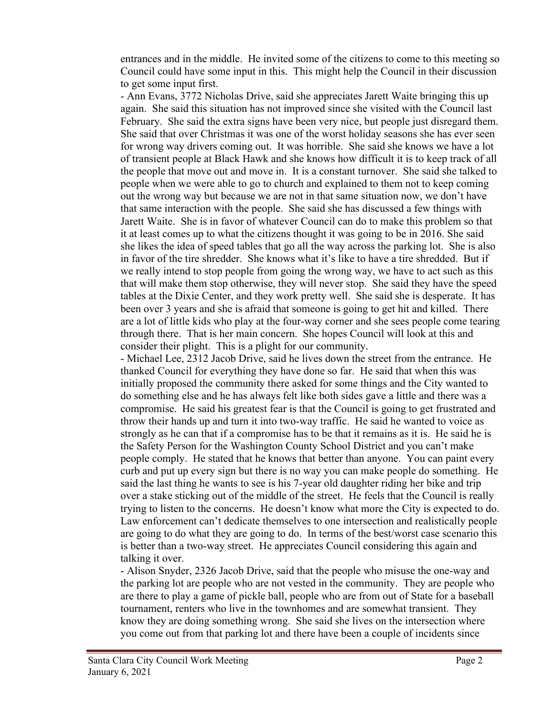entrances and in the middle. He invited some of the citizens to come to this meeting so Council could have some input in this. This might help the Council in their discussion to get some input first.

- Ann Evans, 3772 Nicholas Drive, said she appreciates Jarett Waite bringing this up again. She said this situation has not improved since she visited with the Council last February. She said the extra signs have been very nice, but people just disregard them. She said that over Christmas it was one of the worst holiday seasons she has ever seen for wrong way drivers coming out. It was horrible. She said she knows we have a lot of transient people at Black Hawk and she knows how difficult it is to keep track of all the people that move out and move in. It is a constant turnover. She said she talked to people when we were able to go to church and explained to them not to keep coming out the wrong way but because we are not in that same situation now, we don't have that same interaction with the people. She said she has discussed a few things with Jarett Waite. She is in favor of whatever Council can do to make this problem so that it at least comes up to what the citizens thought it was going to be in 2016. She said she likes the idea of speed tables that go all the way across the parking lot. She is also in favor of the tire shredder. She knows what it's like to have a tire shredded. But if we really intend to stop people from going the wrong way, we have to act such as this that will make them stop otherwise, they will never stop. She said they have the speed tables at the Dixie Center, and they work pretty well. She said she is desperate. It has been over 3 years and she is afraid that someone is going to get hit and killed. There are a lot of little kids who play at the four-way corner and she sees people come tearing through there. That is her main concern. She hopes Council will look at this and consider their plight. This is a plight for our community.

- Michael Lee, 2312 Jacob Drive, said he lives down the street from the entrance. He thanked Council for everything they have done so far. He said that when this was initially proposed the community there asked for some things and the City wanted to do something else and he has always felt like both sides gave a little and there was a compromise. He said his greatest fear is that the Council is going to get frustrated and throw their hands up and turn it into two-way traffic. He said he wanted to voice as strongly as he can that if a compromise has to be that it remains as it is. He said he is the Safety Person for the Washington County School District and you can't make people comply. He stated that he knows that better than anyone. You can paint every curb and put up every sign but there is no way you can make people do something. He said the last thing he wants to see is his 7-year old daughter riding her bike and trip over a stake sticking out of the middle of the street. He feels that the Council is really trying to listen to the concerns. He doesn't know what more the City is expected to do. Law enforcement can't dedicate themselves to one intersection and realistically people are going to do what they are going to do. In terms of the best/worst case scenario this is better than a two-way street. He appreciates Council considering this again and talking it over.

- Alison Snyder, 2326 Jacob Drive, said that the people who misuse the one-way and the parking lot are people who are not vested in the community. They are people who are there to play a game of pickle ball, people who are from out of State for a baseball tournament, renters who live in the townhomes and are somewhat transient. They know they are doing something wrong. She said she lives on the intersection where you come out from that parking lot and there have been a couple of incidents since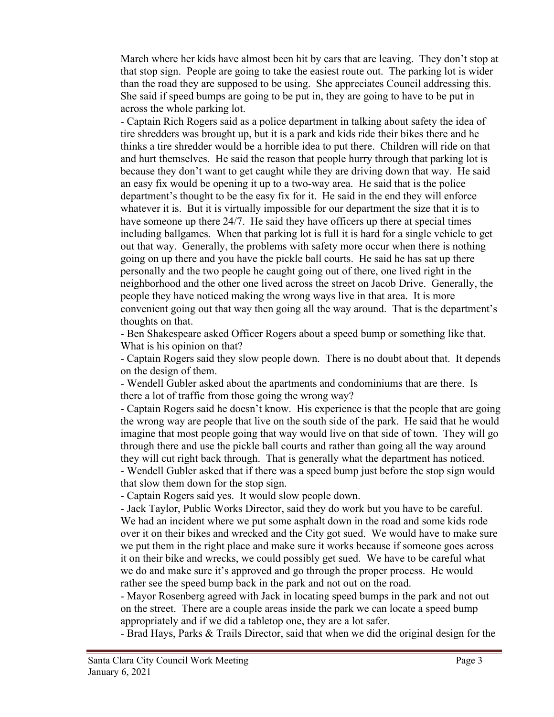March where her kids have almost been hit by cars that are leaving. They don't stop at that stop sign. People are going to take the easiest route out. The parking lot is wider than the road they are supposed to be using. She appreciates Council addressing this. She said if speed bumps are going to be put in, they are going to have to be put in across the whole parking lot.

- Captain Rich Rogers said as a police department in talking about safety the idea of tire shredders was brought up, but it is a park and kids ride their bikes there and he thinks a tire shredder would be a horrible idea to put there. Children will ride on that and hurt themselves. He said the reason that people hurry through that parking lot is because they don't want to get caught while they are driving down that way. He said an easy fix would be opening it up to a two-way area. He said that is the police department's thought to be the easy fix for it. He said in the end they will enforce whatever it is. But it is virtually impossible for our department the size that it is to have someone up there 24/7. He said they have officers up there at special times including ballgames. When that parking lot is full it is hard for a single vehicle to get out that way. Generally, the problems with safety more occur when there is nothing going on up there and you have the pickle ball courts. He said he has sat up there personally and the two people he caught going out of there, one lived right in the neighborhood and the other one lived across the street on Jacob Drive. Generally, the people they have noticed making the wrong ways live in that area. It is more convenient going out that way then going all the way around. That is the department's thoughts on that.

- Ben Shakespeare asked Officer Rogers about a speed bump or something like that. What is his opinion on that?

- Captain Rogers said they slow people down. There is no doubt about that. It depends on the design of them.

- Wendell Gubler asked about the apartments and condominiums that are there. Is there a lot of traffic from those going the wrong way?

- Captain Rogers said he doesn't know. His experience is that the people that are going the wrong way are people that live on the south side of the park. He said that he would imagine that most people going that way would live on that side of town. They will go through there and use the pickle ball courts and rather than going all the way around they will cut right back through. That is generally what the department has noticed.

- Wendell Gubler asked that if there was a speed bump just before the stop sign would that slow them down for the stop sign.

- Captain Rogers said yes. It would slow people down.

- Jack Taylor, Public Works Director, said they do work but you have to be careful. We had an incident where we put some asphalt down in the road and some kids rode over it on their bikes and wrecked and the City got sued. We would have to make sure we put them in the right place and make sure it works because if someone goes across it on their bike and wrecks, we could possibly get sued. We have to be careful what we do and make sure it's approved and go through the proper process. He would rather see the speed bump back in the park and not out on the road.

- Mayor Rosenberg agreed with Jack in locating speed bumps in the park and not out on the street. There are a couple areas inside the park we can locate a speed bump appropriately and if we did a tabletop one, they are a lot safer.

- Brad Hays, Parks & Trails Director, said that when we did the original design for the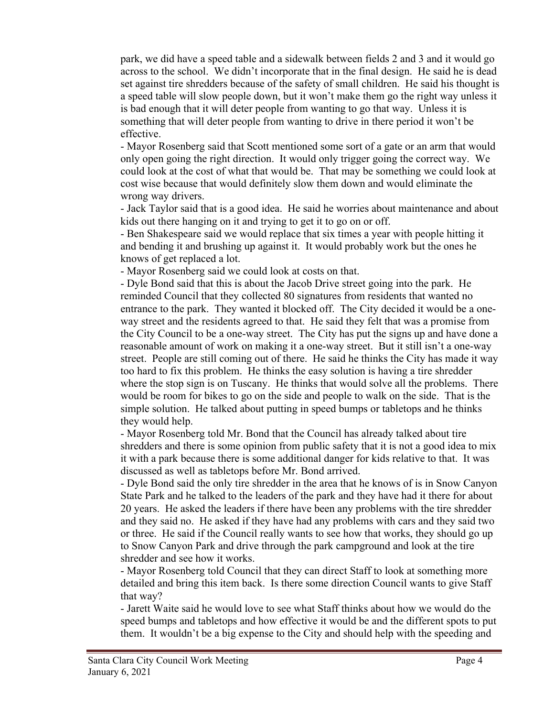park, we did have a speed table and a sidewalk between fields 2 and 3 and it would go across to the school. We didn't incorporate that in the final design. He said he is dead set against tire shredders because of the safety of small children. He said his thought is a speed table will slow people down, but it won't make them go the right way unless it is bad enough that it will deter people from wanting to go that way. Unless it is something that will deter people from wanting to drive in there period it won't be effective.

- Mayor Rosenberg said that Scott mentioned some sort of a gate or an arm that would only open going the right direction. It would only trigger going the correct way. We could look at the cost of what that would be. That may be something we could look at cost wise because that would definitely slow them down and would eliminate the wrong way drivers.

- Jack Taylor said that is a good idea. He said he worries about maintenance and about kids out there hanging on it and trying to get it to go on or off.

- Ben Shakespeare said we would replace that six times a year with people hitting it and bending it and brushing up against it. It would probably work but the ones he knows of get replaced a lot.

- Mayor Rosenberg said we could look at costs on that.

- Dyle Bond said that this is about the Jacob Drive street going into the park. He reminded Council that they collected 80 signatures from residents that wanted no entrance to the park. They wanted it blocked off. The City decided it would be a oneway street and the residents agreed to that. He said they felt that was a promise from the City Council to be a one-way street. The City has put the signs up and have done a reasonable amount of work on making it a one-way street. But it still isn't a one-way street. People are still coming out of there. He said he thinks the City has made it way too hard to fix this problem. He thinks the easy solution is having a tire shredder where the stop sign is on Tuscany. He thinks that would solve all the problems. There would be room for bikes to go on the side and people to walk on the side. That is the simple solution. He talked about putting in speed bumps or tabletops and he thinks they would help.

- Mayor Rosenberg told Mr. Bond that the Council has already talked about tire shredders and there is some opinion from public safety that it is not a good idea to mix it with a park because there is some additional danger for kids relative to that. It was discussed as well as tabletops before Mr. Bond arrived.

- Dyle Bond said the only tire shredder in the area that he knows of is in Snow Canyon State Park and he talked to the leaders of the park and they have had it there for about 20 years. He asked the leaders if there have been any problems with the tire shredder and they said no. He asked if they have had any problems with cars and they said two or three. He said if the Council really wants to see how that works, they should go up to Snow Canyon Park and drive through the park campground and look at the tire shredder and see how it works.

- Mayor Rosenberg told Council that they can direct Staff to look at something more detailed and bring this item back. Is there some direction Council wants to give Staff that way?

- Jarett Waite said he would love to see what Staff thinks about how we would do the speed bumps and tabletops and how effective it would be and the different spots to put them. It wouldn't be a big expense to the City and should help with the speeding and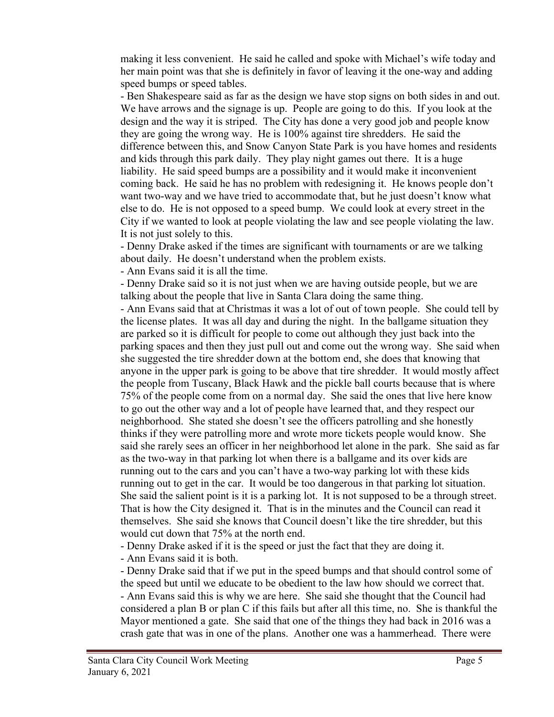making it less convenient. He said he called and spoke with Michael's wife today and her main point was that she is definitely in favor of leaving it the one-way and adding speed bumps or speed tables.

- Ben Shakespeare said as far as the design we have stop signs on both sides in and out. We have arrows and the signage is up. People are going to do this. If you look at the design and the way it is striped. The City has done a very good job and people know they are going the wrong way. He is 100% against tire shredders. He said the difference between this, and Snow Canyon State Park is you have homes and residents and kids through this park daily. They play night games out there. It is a huge liability. He said speed bumps are a possibility and it would make it inconvenient coming back. He said he has no problem with redesigning it. He knows people don't want two-way and we have tried to accommodate that, but he just doesn't know what else to do. He is not opposed to a speed bump. We could look at every street in the City if we wanted to look at people violating the law and see people violating the law. It is not just solely to this.

- Denny Drake asked if the times are significant with tournaments or are we talking about daily. He doesn't understand when the problem exists.

- Ann Evans said it is all the time.

- Denny Drake said so it is not just when we are having outside people, but we are talking about the people that live in Santa Clara doing the same thing.

- Ann Evans said that at Christmas it was a lot of out of town people. She could tell by the license plates. It was all day and during the night. In the ballgame situation they are parked so it is difficult for people to come out although they just back into the parking spaces and then they just pull out and come out the wrong way. She said when she suggested the tire shredder down at the bottom end, she does that knowing that anyone in the upper park is going to be above that tire shredder. It would mostly affect the people from Tuscany, Black Hawk and the pickle ball courts because that is where 75% of the people come from on a normal day. She said the ones that live here know to go out the other way and a lot of people have learned that, and they respect our neighborhood. She stated she doesn't see the officers patrolling and she honestly thinks if they were patrolling more and wrote more tickets people would know. She said she rarely sees an officer in her neighborhood let alone in the park. She said as far as the two-way in that parking lot when there is a ballgame and its over kids are running out to the cars and you can't have a two-way parking lot with these kids running out to get in the car. It would be too dangerous in that parking lot situation. She said the salient point is it is a parking lot. It is not supposed to be a through street. That is how the City designed it. That is in the minutes and the Council can read it themselves. She said she knows that Council doesn't like the tire shredder, but this would cut down that 75% at the north end.

- Denny Drake asked if it is the speed or just the fact that they are doing it.

- Ann Evans said it is both.

- Denny Drake said that if we put in the speed bumps and that should control some of the speed but until we educate to be obedient to the law how should we correct that. - Ann Evans said this is why we are here. She said she thought that the Council had considered a plan B or plan C if this fails but after all this time, no. She is thankful the Mayor mentioned a gate. She said that one of the things they had back in 2016 was a crash gate that was in one of the plans. Another one was a hammerhead. There were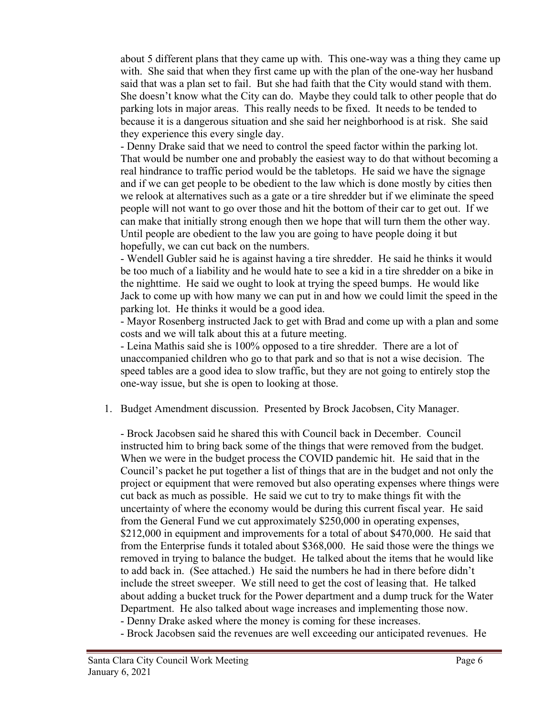about 5 different plans that they came up with. This one-way was a thing they came up with. She said that when they first came up with the plan of the one-way her husband said that was a plan set to fail. But she had faith that the City would stand with them. She doesn't know what the City can do. Maybe they could talk to other people that do parking lots in major areas. This really needs to be fixed. It needs to be tended to because it is a dangerous situation and she said her neighborhood is at risk. She said they experience this every single day.

- Denny Drake said that we need to control the speed factor within the parking lot. That would be number one and probably the easiest way to do that without becoming a real hindrance to traffic period would be the tabletops. He said we have the signage and if we can get people to be obedient to the law which is done mostly by cities then we relook at alternatives such as a gate or a tire shredder but if we eliminate the speed people will not want to go over those and hit the bottom of their car to get out. If we can make that initially strong enough then we hope that will turn them the other way. Until people are obedient to the law you are going to have people doing it but hopefully, we can cut back on the numbers.

- Wendell Gubler said he is against having a tire shredder. He said he thinks it would be too much of a liability and he would hate to see a kid in a tire shredder on a bike in the nighttime. He said we ought to look at trying the speed bumps. He would like Jack to come up with how many we can put in and how we could limit the speed in the parking lot. He thinks it would be a good idea.

- Mayor Rosenberg instructed Jack to get with Brad and come up with a plan and some costs and we will talk about this at a future meeting.

- Leina Mathis said she is 100% opposed to a tire shredder. There are a lot of unaccompanied children who go to that park and so that is not a wise decision. The speed tables are a good idea to slow traffic, but they are not going to entirely stop the one-way issue, but she is open to looking at those.

1. Budget Amendment discussion. Presented by Brock Jacobsen, City Manager.

- Brock Jacobsen said he shared this with Council back in December. Council instructed him to bring back some of the things that were removed from the budget. When we were in the budget process the COVID pandemic hit. He said that in the Council's packet he put together a list of things that are in the budget and not only the project or equipment that were removed but also operating expenses where things were cut back as much as possible. He said we cut to try to make things fit with the uncertainty of where the economy would be during this current fiscal year. He said from the General Fund we cut approximately \$250,000 in operating expenses, \$212,000 in equipment and improvements for a total of about \$470,000. He said that from the Enterprise funds it totaled about \$368,000. He said those were the things we removed in trying to balance the budget. He talked about the items that he would like to add back in. (See attached.) He said the numbers he had in there before didn't include the street sweeper. We still need to get the cost of leasing that. He talked about adding a bucket truck for the Power department and a dump truck for the Water Department. He also talked about wage increases and implementing those now.

- Denny Drake asked where the money is coming for these increases.

- Brock Jacobsen said the revenues are well exceeding our anticipated revenues. He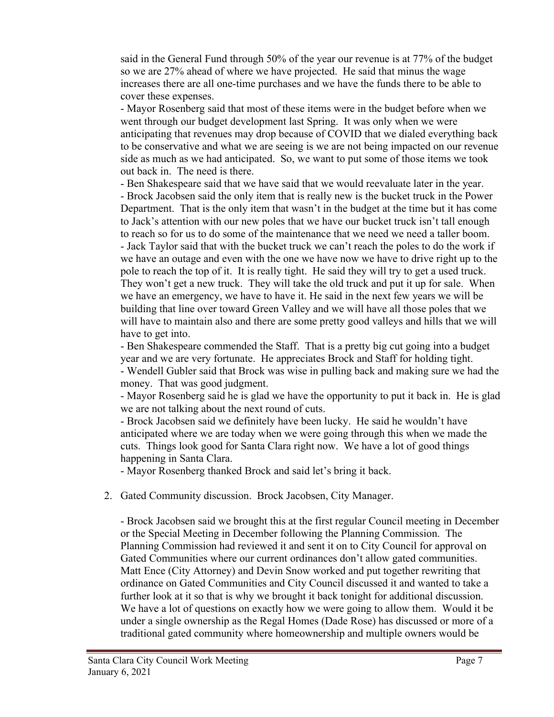said in the General Fund through 50% of the year our revenue is at 77% of the budget so we are 27% ahead of where we have projected. He said that minus the wage increases there are all one-time purchases and we have the funds there to be able to cover these expenses.

- Mayor Rosenberg said that most of these items were in the budget before when we went through our budget development last Spring. It was only when we were anticipating that revenues may drop because of COVID that we dialed everything back to be conservative and what we are seeing is we are not being impacted on our revenue side as much as we had anticipated. So, we want to put some of those items we took out back in. The need is there.

- Ben Shakespeare said that we have said that we would reevaluate later in the year. - Brock Jacobsen said the only item that is really new is the bucket truck in the Power Department. That is the only item that wasn't in the budget at the time but it has come to Jack's attention with our new poles that we have our bucket truck isn't tall enough to reach so for us to do some of the maintenance that we need we need a taller boom. - Jack Taylor said that with the bucket truck we can't reach the poles to do the work if we have an outage and even with the one we have now we have to drive right up to the pole to reach the top of it. It is really tight. He said they will try to get a used truck. They won't get a new truck. They will take the old truck and put it up for sale. When we have an emergency, we have to have it. He said in the next few years we will be building that line over toward Green Valley and we will have all those poles that we will have to maintain also and there are some pretty good valleys and hills that we will have to get into.

- Ben Shakespeare commended the Staff. That is a pretty big cut going into a budget year and we are very fortunate. He appreciates Brock and Staff for holding tight. - Wendell Gubler said that Brock was wise in pulling back and making sure we had the money. That was good judgment.

- Mayor Rosenberg said he is glad we have the opportunity to put it back in. He is glad we are not talking about the next round of cuts.

- Brock Jacobsen said we definitely have been lucky. He said he wouldn't have anticipated where we are today when we were going through this when we made the cuts. Things look good for Santa Clara right now. We have a lot of good things happening in Santa Clara.

- Mayor Rosenberg thanked Brock and said let's bring it back.

2. Gated Community discussion. Brock Jacobsen, City Manager.

- Brock Jacobsen said we brought this at the first regular Council meeting in December or the Special Meeting in December following the Planning Commission. The Planning Commission had reviewed it and sent it on to City Council for approval on Gated Communities where our current ordinances don't allow gated communities. Matt Ence (City Attorney) and Devin Snow worked and put together rewriting that ordinance on Gated Communities and City Council discussed it and wanted to take a further look at it so that is why we brought it back tonight for additional discussion. We have a lot of questions on exactly how we were going to allow them. Would it be under a single ownership as the Regal Homes (Dade Rose) has discussed or more of a traditional gated community where homeownership and multiple owners would be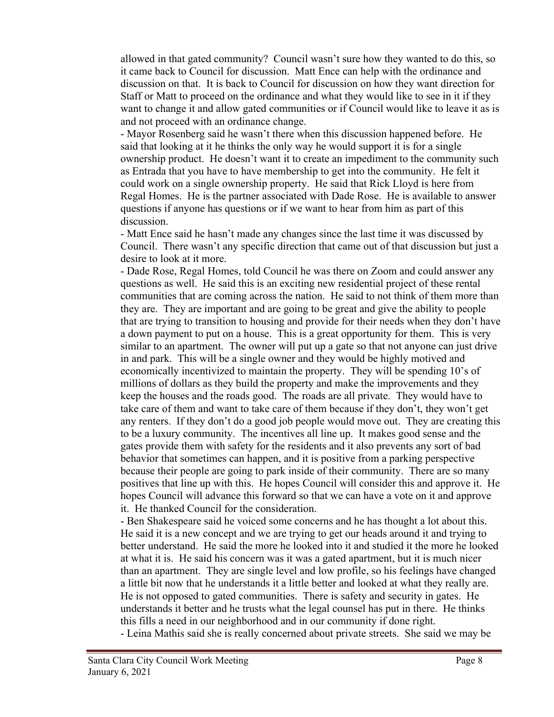allowed in that gated community? Council wasn't sure how they wanted to do this, so it came back to Council for discussion. Matt Ence can help with the ordinance and discussion on that. It is back to Council for discussion on how they want direction for Staff or Matt to proceed on the ordinance and what they would like to see in it if they want to change it and allow gated communities or if Council would like to leave it as is and not proceed with an ordinance change.

- Mayor Rosenberg said he wasn't there when this discussion happened before. He said that looking at it he thinks the only way he would support it is for a single ownership product. He doesn't want it to create an impediment to the community such as Entrada that you have to have membership to get into the community. He felt it could work on a single ownership property. He said that Rick Lloyd is here from Regal Homes. He is the partner associated with Dade Rose. He is available to answer questions if anyone has questions or if we want to hear from him as part of this discussion.

- Matt Ence said he hasn't made any changes since the last time it was discussed by Council. There wasn't any specific direction that came out of that discussion but just a desire to look at it more.

- Dade Rose, Regal Homes, told Council he was there on Zoom and could answer any questions as well. He said this is an exciting new residential project of these rental communities that are coming across the nation. He said to not think of them more than they are. They are important and are going to be great and give the ability to people that are trying to transition to housing and provide for their needs when they don't have a down payment to put on a house. This is a great opportunity for them. This is very similar to an apartment. The owner will put up a gate so that not anyone can just drive in and park. This will be a single owner and they would be highly motived and economically incentivized to maintain the property. They will be spending 10's of millions of dollars as they build the property and make the improvements and they keep the houses and the roads good. The roads are all private. They would have to take care of them and want to take care of them because if they don't, they won't get any renters. If they don't do a good job people would move out. They are creating this to be a luxury community. The incentives all line up. It makes good sense and the gates provide them with safety for the residents and it also prevents any sort of bad behavior that sometimes can happen, and it is positive from a parking perspective because their people are going to park inside of their community. There are so many positives that line up with this. He hopes Council will consider this and approve it. He hopes Council will advance this forward so that we can have a vote on it and approve it. He thanked Council for the consideration.

- Ben Shakespeare said he voiced some concerns and he has thought a lot about this. He said it is a new concept and we are trying to get our heads around it and trying to better understand. He said the more he looked into it and studied it the more he looked at what it is. He said his concern was it was a gated apartment, but it is much nicer than an apartment. They are single level and low profile, so his feelings have changed a little bit now that he understands it a little better and looked at what they really are. He is not opposed to gated communities. There is safety and security in gates. He understands it better and he trusts what the legal counsel has put in there. He thinks this fills a need in our neighborhood and in our community if done right.

- Leina Mathis said she is really concerned about private streets. She said we may be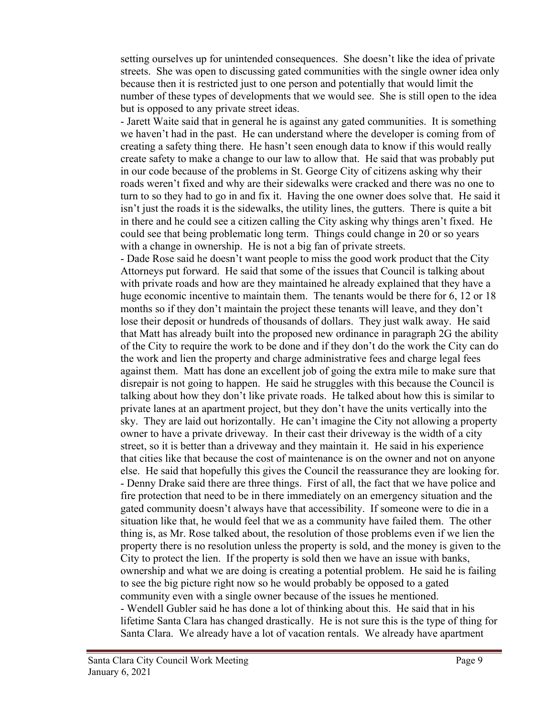setting ourselves up for unintended consequences. She doesn't like the idea of private streets. She was open to discussing gated communities with the single owner idea only because then it is restricted just to one person and potentially that would limit the number of these types of developments that we would see. She is still open to the idea but is opposed to any private street ideas.

- Jarett Waite said that in general he is against any gated communities. It is something we haven't had in the past. He can understand where the developer is coming from of creating a safety thing there. He hasn't seen enough data to know if this would really create safety to make a change to our law to allow that. He said that was probably put in our code because of the problems in St. George City of citizens asking why their roads weren't fixed and why are their sidewalks were cracked and there was no one to turn to so they had to go in and fix it. Having the one owner does solve that. He said it isn't just the roads it is the sidewalks, the utility lines, the gutters. There is quite a bit in there and he could see a citizen calling the City asking why things aren't fixed. He could see that being problematic long term. Things could change in 20 or so years with a change in ownership. He is not a big fan of private streets.

- Dade Rose said he doesn't want people to miss the good work product that the City Attorneys put forward. He said that some of the issues that Council is talking about with private roads and how are they maintained he already explained that they have a huge economic incentive to maintain them. The tenants would be there for 6, 12 or 18 months so if they don't maintain the project these tenants will leave, and they don't lose their deposit or hundreds of thousands of dollars. They just walk away. He said that Matt has already built into the proposed new ordinance in paragraph 2G the ability of the City to require the work to be done and if they don't do the work the City can do the work and lien the property and charge administrative fees and charge legal fees against them. Matt has done an excellent job of going the extra mile to make sure that disrepair is not going to happen. He said he struggles with this because the Council is talking about how they don't like private roads. He talked about how this is similar to private lanes at an apartment project, but they don't have the units vertically into the sky. They are laid out horizontally. He can't imagine the City not allowing a property owner to have a private driveway. In their cast their driveway is the width of a city street, so it is better than a driveway and they maintain it. He said in his experience that cities like that because the cost of maintenance is on the owner and not on anyone else. He said that hopefully this gives the Council the reassurance they are looking for. - Denny Drake said there are three things. First of all, the fact that we have police and fire protection that need to be in there immediately on an emergency situation and the gated community doesn't always have that accessibility. If someone were to die in a situation like that, he would feel that we as a community have failed them. The other thing is, as Mr. Rose talked about, the resolution of those problems even if we lien the property there is no resolution unless the property is sold, and the money is given to the City to protect the lien. If the property is sold then we have an issue with banks, ownership and what we are doing is creating a potential problem. He said he is failing to see the big picture right now so he would probably be opposed to a gated community even with a single owner because of the issues he mentioned. - Wendell Gubler said he has done a lot of thinking about this. He said that in his lifetime Santa Clara has changed drastically. He is not sure this is the type of thing for Santa Clara. We already have a lot of vacation rentals. We already have apartment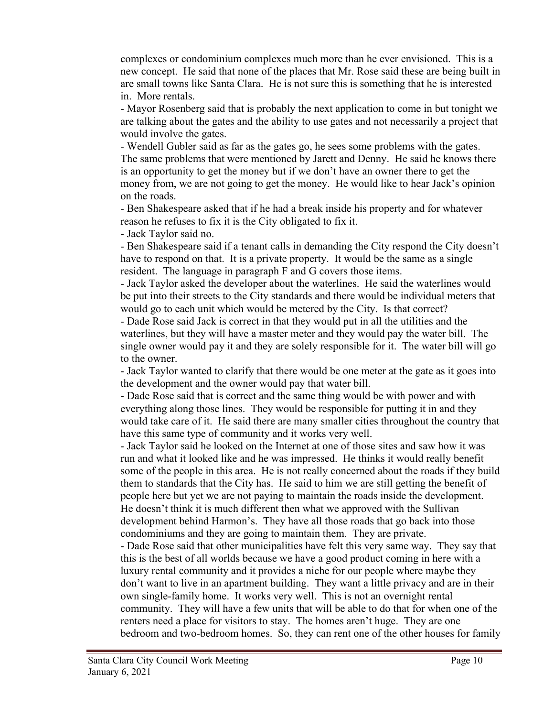complexes or condominium complexes much more than he ever envisioned. This is a new concept. He said that none of the places that Mr. Rose said these are being built in are small towns like Santa Clara. He is not sure this is something that he is interested in. More rentals.

- Mayor Rosenberg said that is probably the next application to come in but tonight we are talking about the gates and the ability to use gates and not necessarily a project that would involve the gates.

- Wendell Gubler said as far as the gates go, he sees some problems with the gates. The same problems that were mentioned by Jarett and Denny. He said he knows there is an opportunity to get the money but if we don't have an owner there to get the money from, we are not going to get the money. He would like to hear Jack's opinion on the roads.

- Ben Shakespeare asked that if he had a break inside his property and for whatever reason he refuses to fix it is the City obligated to fix it.

- Jack Taylor said no.

- Ben Shakespeare said if a tenant calls in demanding the City respond the City doesn't have to respond on that. It is a private property. It would be the same as a single resident. The language in paragraph F and G covers those items.

- Jack Taylor asked the developer about the waterlines. He said the waterlines would be put into their streets to the City standards and there would be individual meters that would go to each unit which would be metered by the City. Is that correct?

- Dade Rose said Jack is correct in that they would put in all the utilities and the waterlines, but they will have a master meter and they would pay the water bill. The single owner would pay it and they are solely responsible for it. The water bill will go to the owner.

- Jack Taylor wanted to clarify that there would be one meter at the gate as it goes into the development and the owner would pay that water bill.

- Dade Rose said that is correct and the same thing would be with power and with everything along those lines. They would be responsible for putting it in and they would take care of it. He said there are many smaller cities throughout the country that have this same type of community and it works very well.

- Jack Taylor said he looked on the Internet at one of those sites and saw how it was run and what it looked like and he was impressed. He thinks it would really benefit some of the people in this area. He is not really concerned about the roads if they build them to standards that the City has. He said to him we are still getting the benefit of people here but yet we are not paying to maintain the roads inside the development. He doesn't think it is much different then what we approved with the Sullivan development behind Harmon's. They have all those roads that go back into those condominiums and they are going to maintain them. They are private.

- Dade Rose said that other municipalities have felt this very same way. They say that this is the best of all worlds because we have a good product coming in here with a luxury rental community and it provides a niche for our people where maybe they don't want to live in an apartment building. They want a little privacy and are in their own single-family home. It works very well. This is not an overnight rental community. They will have a few units that will be able to do that for when one of the renters need a place for visitors to stay. The homes aren't huge. They are one bedroom and two-bedroom homes. So, they can rent one of the other houses for family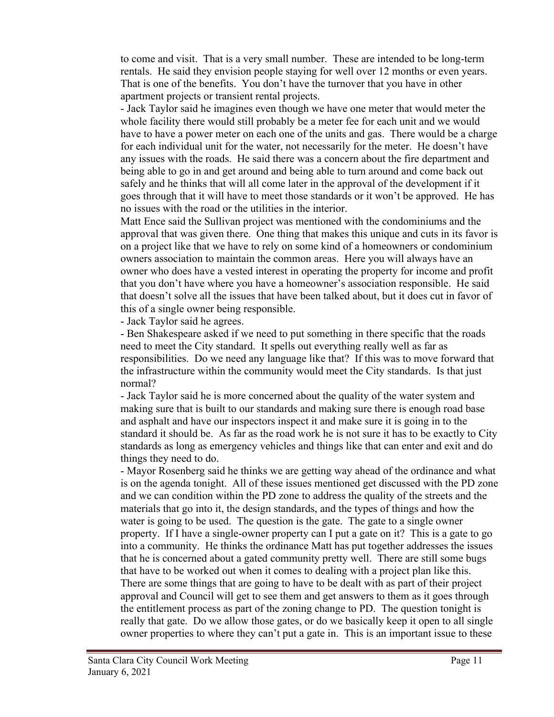to come and visit. That is a very small number. These are intended to be long-term rentals. He said they envision people staying for well over 12 months or even years. That is one of the benefits. You don't have the turnover that you have in other apartment projects or transient rental projects.

- Jack Taylor said he imagines even though we have one meter that would meter the whole facility there would still probably be a meter fee for each unit and we would have to have a power meter on each one of the units and gas. There would be a charge for each individual unit for the water, not necessarily for the meter. He doesn't have any issues with the roads. He said there was a concern about the fire department and being able to go in and get around and being able to turn around and come back out safely and he thinks that will all come later in the approval of the development if it goes through that it will have to meet those standards or it won't be approved. He has no issues with the road or the utilities in the interior.

Matt Ence said the Sullivan project was mentioned with the condominiums and the approval that was given there. One thing that makes this unique and cuts in its favor is on a project like that we have to rely on some kind of a homeowners or condominium owners association to maintain the common areas. Here you will always have an owner who does have a vested interest in operating the property for income and profit that you don't have where you have a homeowner's association responsible. He said that doesn't solve all the issues that have been talked about, but it does cut in favor of this of a single owner being responsible.

- Jack Taylor said he agrees.

- Ben Shakespeare asked if we need to put something in there specific that the roads need to meet the City standard. It spells out everything really well as far as responsibilities. Do we need any language like that? If this was to move forward that the infrastructure within the community would meet the City standards. Is that just normal?

- Jack Taylor said he is more concerned about the quality of the water system and making sure that is built to our standards and making sure there is enough road base and asphalt and have our inspectors inspect it and make sure it is going in to the standard it should be. As far as the road work he is not sure it has to be exactly to City standards as long as emergency vehicles and things like that can enter and exit and do things they need to do.

- Mayor Rosenberg said he thinks we are getting way ahead of the ordinance and what is on the agenda tonight. All of these issues mentioned get discussed with the PD zone and we can condition within the PD zone to address the quality of the streets and the materials that go into it, the design standards, and the types of things and how the water is going to be used. The question is the gate. The gate to a single owner property. If I have a single-owner property can I put a gate on it? This is a gate to go into a community. He thinks the ordinance Matt has put together addresses the issues that he is concerned about a gated community pretty well. There are still some bugs that have to be worked out when it comes to dealing with a project plan like this. There are some things that are going to have to be dealt with as part of their project approval and Council will get to see them and get answers to them as it goes through the entitlement process as part of the zoning change to PD. The question tonight is really that gate. Do we allow those gates, or do we basically keep it open to all single owner properties to where they can't put a gate in. This is an important issue to these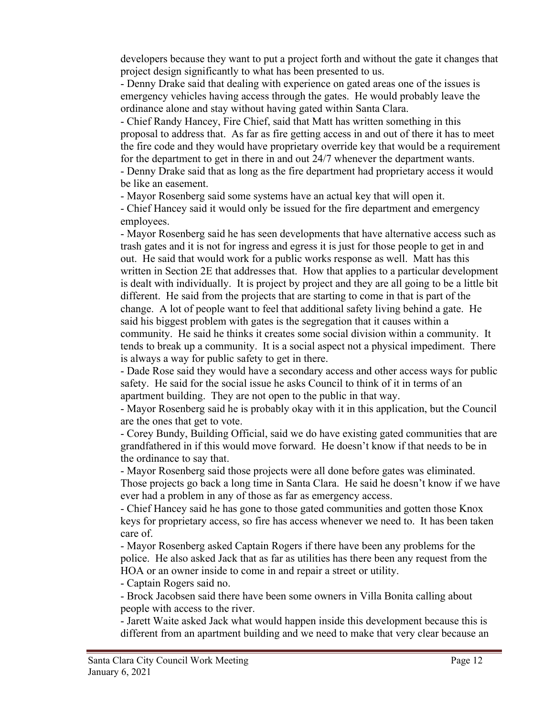developers because they want to put a project forth and without the gate it changes that project design significantly to what has been presented to us.

- Denny Drake said that dealing with experience on gated areas one of the issues is emergency vehicles having access through the gates. He would probably leave the ordinance alone and stay without having gated within Santa Clara.

- Chief Randy Hancey, Fire Chief, said that Matt has written something in this proposal to address that. As far as fire getting access in and out of there it has to meet the fire code and they would have proprietary override key that would be a requirement for the department to get in there in and out 24/7 whenever the department wants. - Denny Drake said that as long as the fire department had proprietary access it would

be like an easement.

- Mayor Rosenberg said some systems have an actual key that will open it.

- Chief Hancey said it would only be issued for the fire department and emergency employees.

- Mayor Rosenberg said he has seen developments that have alternative access such as trash gates and it is not for ingress and egress it is just for those people to get in and out. He said that would work for a public works response as well. Matt has this written in Section 2E that addresses that. How that applies to a particular development is dealt with individually. It is project by project and they are all going to be a little bit different. He said from the projects that are starting to come in that is part of the change. A lot of people want to feel that additional safety living behind a gate. He said his biggest problem with gates is the segregation that it causes within a community. He said he thinks it creates some social division within a community. It tends to break up a community. It is a social aspect not a physical impediment. There is always a way for public safety to get in there.

- Dade Rose said they would have a secondary access and other access ways for public safety. He said for the social issue he asks Council to think of it in terms of an apartment building. They are not open to the public in that way.

- Mayor Rosenberg said he is probably okay with it in this application, but the Council are the ones that get to vote.

- Corey Bundy, Building Official, said we do have existing gated communities that are grandfathered in if this would move forward. He doesn't know if that needs to be in the ordinance to say that.

- Mayor Rosenberg said those projects were all done before gates was eliminated. Those projects go back a long time in Santa Clara. He said he doesn't know if we have ever had a problem in any of those as far as emergency access.

- Chief Hancey said he has gone to those gated communities and gotten those Knox keys for proprietary access, so fire has access whenever we need to. It has been taken care of.

- Mayor Rosenberg asked Captain Rogers if there have been any problems for the police. He also asked Jack that as far as utilities has there been any request from the HOA or an owner inside to come in and repair a street or utility.

- Captain Rogers said no.

- Brock Jacobsen said there have been some owners in Villa Bonita calling about people with access to the river.

- Jarett Waite asked Jack what would happen inside this development because this is different from an apartment building and we need to make that very clear because an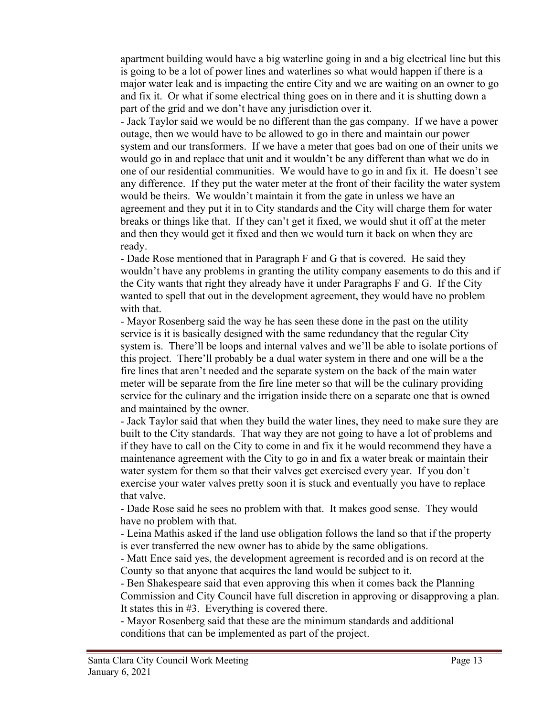apartment building would have a big waterline going in and a big electrical line but this is going to be a lot of power lines and waterlines so what would happen if there is a major water leak and is impacting the entire City and we are waiting on an owner to go and fix it. Or what if some electrical thing goes on in there and it is shutting down a part of the grid and we don't have any jurisdiction over it.

- Jack Taylor said we would be no different than the gas company. If we have a power outage, then we would have to be allowed to go in there and maintain our power system and our transformers. If we have a meter that goes bad on one of their units we would go in and replace that unit and it wouldn't be any different than what we do in one of our residential communities. We would have to go in and fix it. He doesn't see any difference. If they put the water meter at the front of their facility the water system would be theirs. We wouldn't maintain it from the gate in unless we have an agreement and they put it in to City standards and the City will charge them for water breaks or things like that. If they can't get it fixed, we would shut it off at the meter and then they would get it fixed and then we would turn it back on when they are ready.

- Dade Rose mentioned that in Paragraph F and G that is covered. He said they wouldn't have any problems in granting the utility company easements to do this and if the City wants that right they already have it under Paragraphs F and G. If the City wanted to spell that out in the development agreement, they would have no problem with that.

- Mayor Rosenberg said the way he has seen these done in the past on the utility service is it is basically designed with the same redundancy that the regular City system is. There'll be loops and internal valves and we'll be able to isolate portions of this project. There'll probably be a dual water system in there and one will be a the fire lines that aren't needed and the separate system on the back of the main water meter will be separate from the fire line meter so that will be the culinary providing service for the culinary and the irrigation inside there on a separate one that is owned and maintained by the owner.

- Jack Taylor said that when they build the water lines, they need to make sure they are built to the City standards. That way they are not going to have a lot of problems and if they have to call on the City to come in and fix it he would recommend they have a maintenance agreement with the City to go in and fix a water break or maintain their water system for them so that their valves get exercised every year. If you don't exercise your water valves pretty soon it is stuck and eventually you have to replace that valve.

- Dade Rose said he sees no problem with that. It makes good sense. They would have no problem with that.

- Leina Mathis asked if the land use obligation follows the land so that if the property is ever transferred the new owner has to abide by the same obligations.

- Matt Ence said yes, the development agreement is recorded and is on record at the County so that anyone that acquires the land would be subject to it.

- Ben Shakespeare said that even approving this when it comes back the Planning Commission and City Council have full discretion in approving or disapproving a plan. It states this in #3. Everything is covered there.

- Mayor Rosenberg said that these are the minimum standards and additional conditions that can be implemented as part of the project.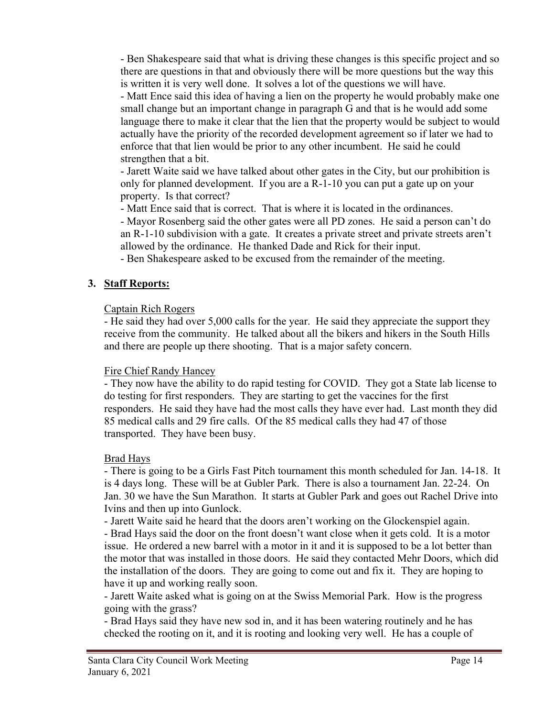- Ben Shakespeare said that what is driving these changes is this specific project and so there are questions in that and obviously there will be more questions but the way this is written it is very well done. It solves a lot of the questions we will have.

- Matt Ence said this idea of having a lien on the property he would probably make one small change but an important change in paragraph G and that is he would add some language there to make it clear that the lien that the property would be subject to would actually have the priority of the recorded development agreement so if later we had to enforce that that lien would be prior to any other incumbent. He said he could strengthen that a bit.

- Jarett Waite said we have talked about other gates in the City, but our prohibition is only for planned development. If you are a R-1-10 you can put a gate up on your property. Is that correct?

- Matt Ence said that is correct. That is where it is located in the ordinances.

- Mayor Rosenberg said the other gates were all PD zones. He said a person can't do an R-1-10 subdivision with a gate. It creates a private street and private streets aren't allowed by the ordinance. He thanked Dade and Rick for their input.

- Ben Shakespeare asked to be excused from the remainder of the meeting.

# **3. Staff Reports:**

## Captain Rich Rogers

- He said they had over 5,000 calls for the year. He said they appreciate the support they receive from the community. He talked about all the bikers and hikers in the South Hills and there are people up there shooting. That is a major safety concern.

## Fire Chief Randy Hancey

- They now have the ability to do rapid testing for COVID. They got a State lab license to do testing for first responders. They are starting to get the vaccines for the first responders. He said they have had the most calls they have ever had. Last month they did 85 medical calls and 29 fire calls. Of the 85 medical calls they had 47 of those transported. They have been busy.

## Brad Hays

- There is going to be a Girls Fast Pitch tournament this month scheduled for Jan. 14-18. It is 4 days long. These will be at Gubler Park. There is also a tournament Jan. 22-24. On Jan. 30 we have the Sun Marathon. It starts at Gubler Park and goes out Rachel Drive into Ivins and then up into Gunlock.

- Jarett Waite said he heard that the doors aren't working on the Glockenspiel again.

- Brad Hays said the door on the front doesn't want close when it gets cold. It is a motor issue. He ordered a new barrel with a motor in it and it is supposed to be a lot better than the motor that was installed in those doors. He said they contacted Mehr Doors, which did the installation of the doors. They are going to come out and fix it. They are hoping to have it up and working really soon.

- Jarett Waite asked what is going on at the Swiss Memorial Park. How is the progress going with the grass?

- Brad Hays said they have new sod in, and it has been watering routinely and he has checked the rooting on it, and it is rooting and looking very well. He has a couple of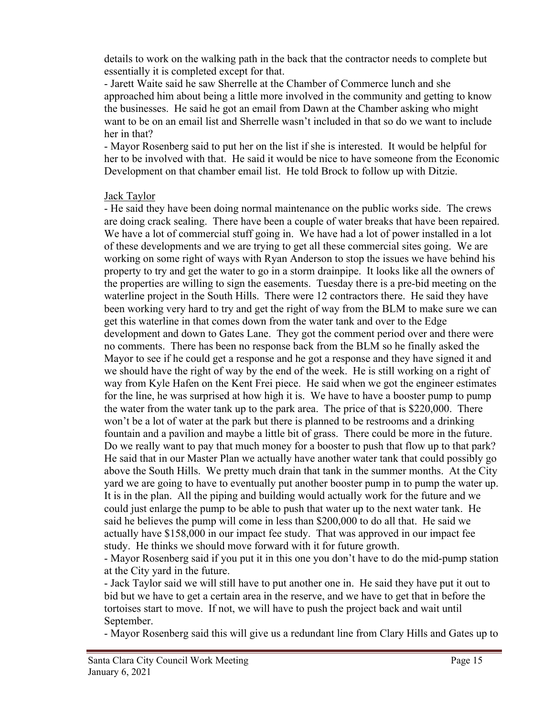details to work on the walking path in the back that the contractor needs to complete but essentially it is completed except for that.

- Jarett Waite said he saw Sherrelle at the Chamber of Commerce lunch and she approached him about being a little more involved in the community and getting to know the businesses. He said he got an email from Dawn at the Chamber asking who might want to be on an email list and Sherrelle wasn't included in that so do we want to include her in that?

- Mayor Rosenberg said to put her on the list if she is interested. It would be helpful for her to be involved with that. He said it would be nice to have someone from the Economic Development on that chamber email list. He told Brock to follow up with Ditzie.

#### Jack Taylor

- He said they have been doing normal maintenance on the public works side. The crews are doing crack sealing. There have been a couple of water breaks that have been repaired. We have a lot of commercial stuff going in. We have had a lot of power installed in a lot of these developments and we are trying to get all these commercial sites going. We are working on some right of ways with Ryan Anderson to stop the issues we have behind his property to try and get the water to go in a storm drainpipe. It looks like all the owners of the properties are willing to sign the easements. Tuesday there is a pre-bid meeting on the waterline project in the South Hills. There were 12 contractors there. He said they have been working very hard to try and get the right of way from the BLM to make sure we can get this waterline in that comes down from the water tank and over to the Edge development and down to Gates Lane. They got the comment period over and there were no comments. There has been no response back from the BLM so he finally asked the Mayor to see if he could get a response and he got a response and they have signed it and we should have the right of way by the end of the week. He is still working on a right of way from Kyle Hafen on the Kent Frei piece. He said when we got the engineer estimates for the line, he was surprised at how high it is. We have to have a booster pump to pump the water from the water tank up to the park area. The price of that is \$220,000. There won't be a lot of water at the park but there is planned to be restrooms and a drinking fountain and a pavilion and maybe a little bit of grass. There could be more in the future. Do we really want to pay that much money for a booster to push that flow up to that park? He said that in our Master Plan we actually have another water tank that could possibly go above the South Hills. We pretty much drain that tank in the summer months. At the City yard we are going to have to eventually put another booster pump in to pump the water up. It is in the plan. All the piping and building would actually work for the future and we could just enlarge the pump to be able to push that water up to the next water tank. He said he believes the pump will come in less than \$200,000 to do all that. He said we actually have \$158,000 in our impact fee study. That was approved in our impact fee study. He thinks we should move forward with it for future growth.

- Mayor Rosenberg said if you put it in this one you don't have to do the mid-pump station at the City yard in the future.

- Jack Taylor said we will still have to put another one in. He said they have put it out to bid but we have to get a certain area in the reserve, and we have to get that in before the tortoises start to move. If not, we will have to push the project back and wait until September.

- Mayor Rosenberg said this will give us a redundant line from Clary Hills and Gates up to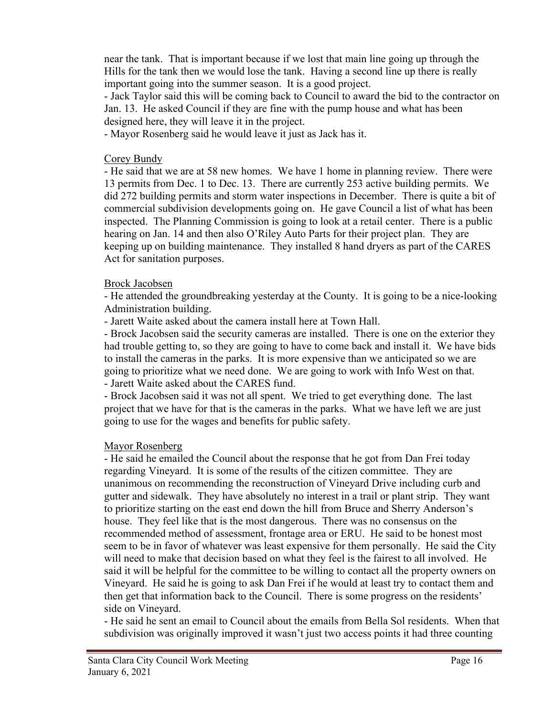near the tank. That is important because if we lost that main line going up through the Hills for the tank then we would lose the tank. Having a second line up there is really important going into the summer season. It is a good project.

- Jack Taylor said this will be coming back to Council to award the bid to the contractor on Jan. 13. He asked Council if they are fine with the pump house and what has been designed here, they will leave it in the project.

- Mayor Rosenberg said he would leave it just as Jack has it.

#### Corey Bundy

- He said that we are at 58 new homes. We have 1 home in planning review. There were 13 permits from Dec. 1 to Dec. 13. There are currently 253 active building permits. We did 272 building permits and storm water inspections in December. There is quite a bit of commercial subdivision developments going on. He gave Council a list of what has been inspected. The Planning Commission is going to look at a retail center. There is a public hearing on Jan. 14 and then also O'Riley Auto Parts for their project plan. They are keeping up on building maintenance. They installed 8 hand dryers as part of the CARES Act for sanitation purposes.

#### Brock Jacobsen

- He attended the groundbreaking yesterday at the County. It is going to be a nice-looking Administration building.

- Jarett Waite asked about the camera install here at Town Hall.

- Brock Jacobsen said the security cameras are installed. There is one on the exterior they had trouble getting to, so they are going to have to come back and install it. We have bids to install the cameras in the parks. It is more expensive than we anticipated so we are going to prioritize what we need done. We are going to work with Info West on that. - Jarett Waite asked about the CARES fund.

- Brock Jacobsen said it was not all spent. We tried to get everything done. The last project that we have for that is the cameras in the parks. What we have left we are just going to use for the wages and benefits for public safety.

## Mayor Rosenberg

- He said he emailed the Council about the response that he got from Dan Frei today regarding Vineyard. It is some of the results of the citizen committee. They are unanimous on recommending the reconstruction of Vineyard Drive including curb and gutter and sidewalk. They have absolutely no interest in a trail or plant strip. They want to prioritize starting on the east end down the hill from Bruce and Sherry Anderson's house. They feel like that is the most dangerous. There was no consensus on the recommended method of assessment, frontage area or ERU. He said to be honest most seem to be in favor of whatever was least expensive for them personally. He said the City will need to make that decision based on what they feel is the fairest to all involved. He said it will be helpful for the committee to be willing to contact all the property owners on Vineyard. He said he is going to ask Dan Frei if he would at least try to contact them and then get that information back to the Council. There is some progress on the residents' side on Vineyard.

- He said he sent an email to Council about the emails from Bella Sol residents. When that subdivision was originally improved it wasn't just two access points it had three counting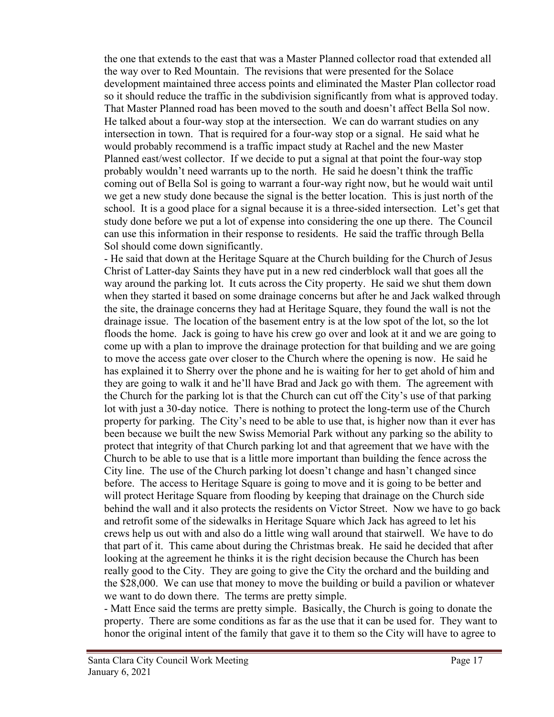the one that extends to the east that was a Master Planned collector road that extended all the way over to Red Mountain. The revisions that were presented for the Solace development maintained three access points and eliminated the Master Plan collector road so it should reduce the traffic in the subdivision significantly from what is approved today. That Master Planned road has been moved to the south and doesn't affect Bella Sol now. He talked about a four-way stop at the intersection. We can do warrant studies on any intersection in town. That is required for a four-way stop or a signal. He said what he would probably recommend is a traffic impact study at Rachel and the new Master Planned east/west collector. If we decide to put a signal at that point the four-way stop probably wouldn't need warrants up to the north. He said he doesn't think the traffic coming out of Bella Sol is going to warrant a four-way right now, but he would wait until we get a new study done because the signal is the better location. This is just north of the school. It is a good place for a signal because it is a three-sided intersection. Let's get that study done before we put a lot of expense into considering the one up there. The Council can use this information in their response to residents. He said the traffic through Bella Sol should come down significantly.

- He said that down at the Heritage Square at the Church building for the Church of Jesus Christ of Latter-day Saints they have put in a new red cinderblock wall that goes all the way around the parking lot. It cuts across the City property. He said we shut them down when they started it based on some drainage concerns but after he and Jack walked through the site, the drainage concerns they had at Heritage Square, they found the wall is not the drainage issue. The location of the basement entry is at the low spot of the lot, so the lot floods the home. Jack is going to have his crew go over and look at it and we are going to come up with a plan to improve the drainage protection for that building and we are going to move the access gate over closer to the Church where the opening is now. He said he has explained it to Sherry over the phone and he is waiting for her to get ahold of him and they are going to walk it and he'll have Brad and Jack go with them. The agreement with the Church for the parking lot is that the Church can cut off the City's use of that parking lot with just a 30-day notice. There is nothing to protect the long-term use of the Church property for parking. The City's need to be able to use that, is higher now than it ever has been because we built the new Swiss Memorial Park without any parking so the ability to protect that integrity of that Church parking lot and that agreement that we have with the Church to be able to use that is a little more important than building the fence across the City line. The use of the Church parking lot doesn't change and hasn't changed since before. The access to Heritage Square is going to move and it is going to be better and will protect Heritage Square from flooding by keeping that drainage on the Church side behind the wall and it also protects the residents on Victor Street. Now we have to go back and retrofit some of the sidewalks in Heritage Square which Jack has agreed to let his crews help us out with and also do a little wing wall around that stairwell. We have to do that part of it. This came about during the Christmas break. He said he decided that after looking at the agreement he thinks it is the right decision because the Church has been really good to the City. They are going to give the City the orchard and the building and the \$28,000. We can use that money to move the building or build a pavilion or whatever we want to do down there. The terms are pretty simple.

- Matt Ence said the terms are pretty simple. Basically, the Church is going to donate the property. There are some conditions as far as the use that it can be used for. They want to honor the original intent of the family that gave it to them so the City will have to agree to